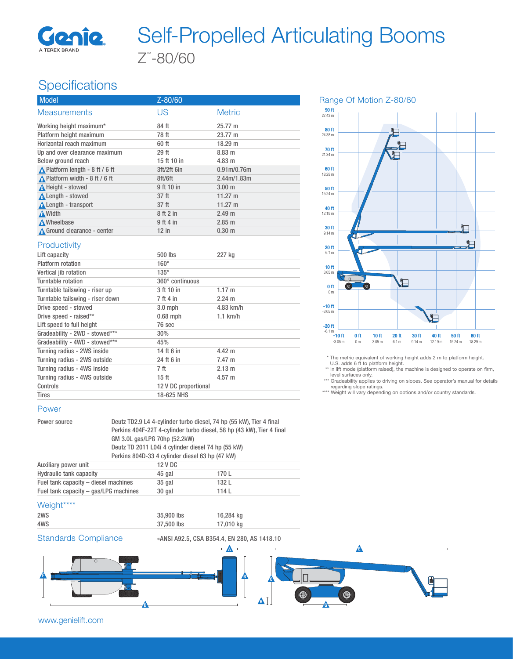

# Z™ -80/60 Self-Propelled Articulating Booms

## **Specifications**

| <b>Model</b>                                     | Z-80/60     |                                      |  |
|--------------------------------------------------|-------------|--------------------------------------|--|
| <b>Measurements</b>                              | US          | <b>Metric</b>                        |  |
| Working height maximum*                          | 84 ft       | 25.77 m                              |  |
| Platform height maximum                          | 78 ft       | 23.77 m                              |  |
| Horizontal reach maximum                         | 60 ft       | 18.29 m                              |  |
| Up and over clearance maximum                    | 29 ft       | 8.83 m                               |  |
| Below ground reach                               | 15 ft 10 in | $4.83 \; m$                          |  |
| $\triangle$ Platform length - 8 ft / 6 ft        | 3ft/2ft 6in | 0.91 <sub>m</sub> /0.76 <sub>m</sub> |  |
| A Platform width - $8 \text{ ft} / 6 \text{ ft}$ | 8ft/6ft     | 2.44m/1.83m                          |  |
| A Height - stowed                                | 9 ft 10 in  | 3.00 <sub>m</sub>                    |  |
| Length - stowed                                  | 37 ft       | 11.27 m                              |  |
| <b>A</b> Length - transport                      | 37 ft       | 11.27 m                              |  |
| A Width                                          | 8 ft 2 in   | 2.49 m                               |  |
| <b>A</b> Wheelbase                               | 9 ft 4 in   | 2.85 m                               |  |
| Ground clearance - center                        | $12$ in     | $0.30 \; \text{m}$                   |  |

#### **Productivity**

| Lift capacity                    | 500 lbs              | 227 kg           |
|----------------------------------|----------------------|------------------|
| Platform rotation                | $160^\circ$          |                  |
| Vertical jib rotation            | $135^\circ$          |                  |
| Turntable rotation               | 360° continuous      |                  |
| Turntable tailswing - riser up   | 3 ft 10 in           | $1.17 \; m$      |
| Turntable tailswing - riser down | 7 ft 4 in            | $2.24 \text{ m}$ |
| Drive speed - stowed             | $3.0$ mph            | 4.83 km/h        |
| Drive speed - raised**           | $0.68$ mph           | $1.1$ km/h       |
| Lift speed to full height        | 76 sec               |                  |
| Gradeability - 2WD - stowed***   | 30%                  |                  |
| Gradeability - 4WD - stowed***   | 45%                  |                  |
| Turning radius - 2WS inside      | 14 ft 6 in           | $4.42 \; m$      |
| Turning radius - 2WS outside     | 24 ft 6 in           | $7.47 \; m$      |
| Turning radius - 4WS inside      | 7 ft                 | $2.13 \text{ m}$ |
| Turning radius - 4WS outside     | 15 <sub>ft</sub>     | $4.57 \text{ m}$ |
| Controls                         | 12 V DC proportional |                  |
| <b>Tires</b>                     | 18-625 NHS           |                  |

#### Power

Power source Deutz TD2.9 L4 4-cylinder turbo diesel, 74 hp (55 kW), Tier 4 final Perkins 404F-22T 4-cylinder turbo diesel, 58 hp (43 kW), Tier 4 final GM 3.0L gas/LPG 70hp (52.2kW) Deutz TD 2011 L04i 4 cylinder diesel 74 hp (55 kW) Perkins 804D-33 4 cylinder diesel 63 hp (47 kW) Auxiliary power unit 12 V DC

| <b><i>RUATHALLY DUVILLE</i></b>       | $L \vee U$ |       |
|---------------------------------------|------------|-------|
| <b>Hydraulic tank capacity</b>        | 45 gal     | 170 L |
| Fuel tank capacity – diesel machines  | 35 gal     | 132 L |
| Fuel tank capacity – gas/LPG machines | 30 gal     | 114L  |
|                                       |            |       |

#### Weight\*\*\*\*

| .   |            |           |
|-----|------------|-----------|
| 2WS | 35,900 lbs | 16,284 kg |
| 4WS | 37,500 lbs | 17,010 kg |
|     |            |           |

Standards Compliance «ANSI A92.5, CSA B354.4, EN 280, AS 1418.10



Range Of Motion Z-80/60



\* The metric equivalent of working height adds 2 m to platform height.

U.S. adds 6 ft to platform height.

\*\* In lift mode (platform raised), the machine is designed to operate on firm, level surfaces only.

\*\*\* Gradeability applies to driving on slopes. See operator's manual for details regarding slope ratings.

\*\*\*\* Weight will vary depending on options and/or country standards.

www.genielift.com